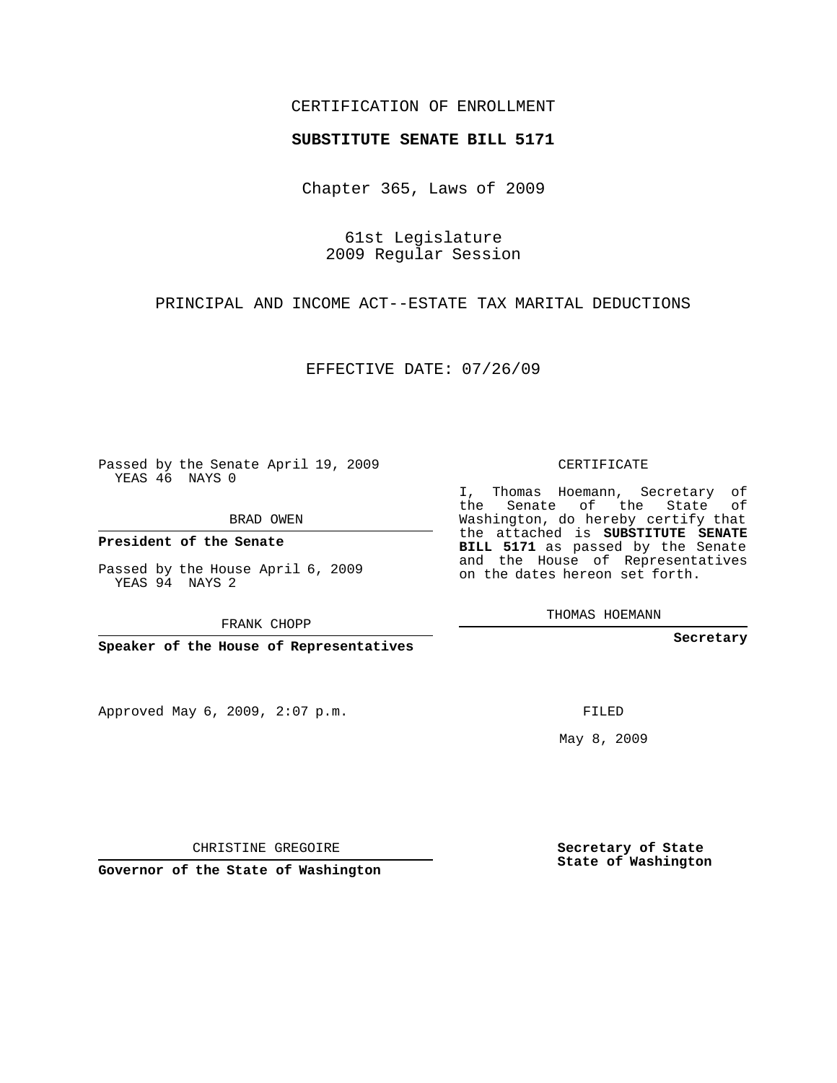## CERTIFICATION OF ENROLLMENT

## **SUBSTITUTE SENATE BILL 5171**

Chapter 365, Laws of 2009

61st Legislature 2009 Regular Session

PRINCIPAL AND INCOME ACT--ESTATE TAX MARITAL DEDUCTIONS

EFFECTIVE DATE: 07/26/09

Passed by the Senate April 19, 2009 YEAS 46 NAYS 0

BRAD OWEN

**President of the Senate**

Passed by the House April 6, 2009 YEAS 94 NAYS 2

FRANK CHOPP

**Speaker of the House of Representatives**

Approved May 6, 2009, 2:07 p.m.

## CERTIFICATE

I, Thomas Hoemann, Secretary of the Senate of the State of Washington, do hereby certify that the attached is **SUBSTITUTE SENATE BILL 5171** as passed by the Senate and the House of Representatives on the dates hereon set forth.

THOMAS HOEMANN

**Secretary**

FILED

May 8, 2009

**Secretary of State State of Washington**

CHRISTINE GREGOIRE

**Governor of the State of Washington**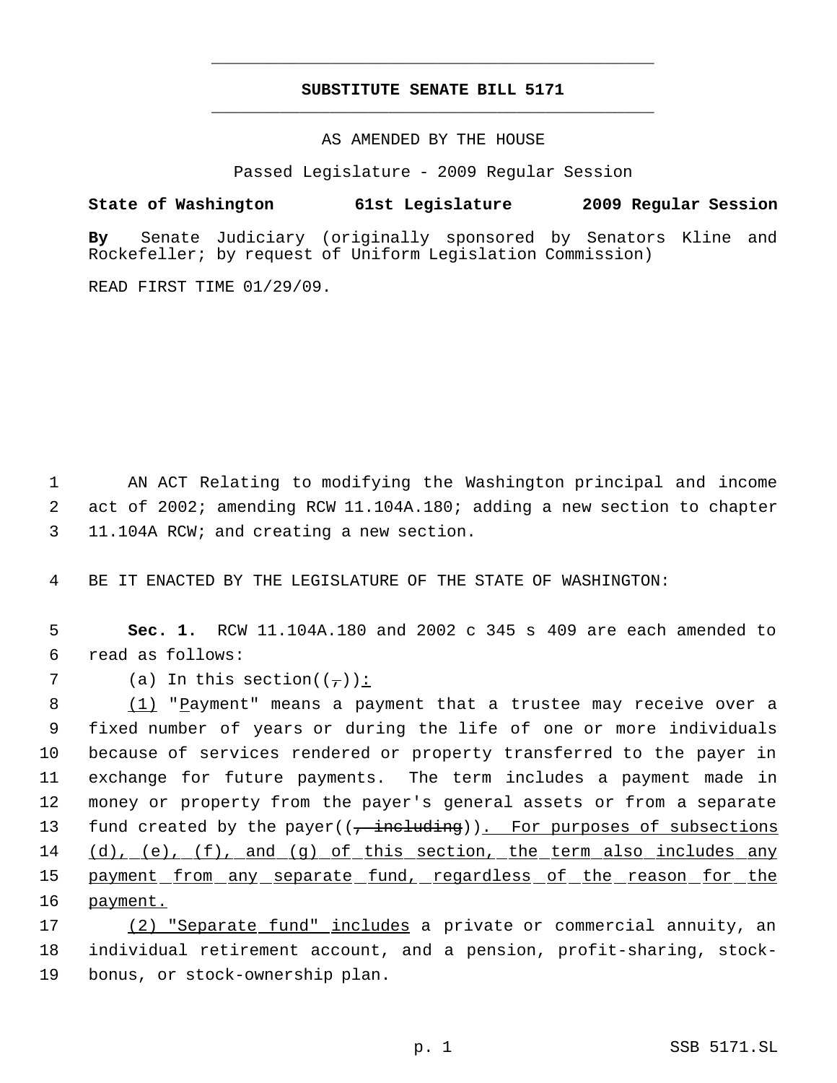## **SUBSTITUTE SENATE BILL 5171** \_\_\_\_\_\_\_\_\_\_\_\_\_\_\_\_\_\_\_\_\_\_\_\_\_\_\_\_\_\_\_\_\_\_\_\_\_\_\_\_\_\_\_\_\_

\_\_\_\_\_\_\_\_\_\_\_\_\_\_\_\_\_\_\_\_\_\_\_\_\_\_\_\_\_\_\_\_\_\_\_\_\_\_\_\_\_\_\_\_\_

AS AMENDED BY THE HOUSE

Passed Legislature - 2009 Regular Session

**State of Washington 61st Legislature 2009 Regular Session**

**By** Senate Judiciary (originally sponsored by Senators Kline and Rockefeller; by request of Uniform Legislation Commission)

READ FIRST TIME 01/29/09.

 1 AN ACT Relating to modifying the Washington principal and income 2 act of 2002; amending RCW 11.104A.180; adding a new section to chapter 3 11.104A RCW; and creating a new section.

4 BE IT ENACTED BY THE LEGISLATURE OF THE STATE OF WASHINGTON:

 5 **Sec. 1.** RCW 11.104A.180 and 2002 c 345 s 409 are each amended to 6 read as follows:

7 (a) In this section( $(\tau)$ ):

8 (1) "Payment" means a payment that a trustee may receive over a 9 fixed number of years or during the life of one or more individuals 10 because of services rendered or property transferred to the payer in 11 exchange for future payments. The term includes a payment made in 12 money or property from the payer's general assets or from a separate 13 fund created by the payer((, including)). For purposes of subsections 14 (d), (e), (f), and (g) of this section, the term also includes any 15 payment from any separate fund, regardless of the reason for the 16 payment.

17 (2) "Separate fund" includes a private or commercial annuity, an 18 individual retirement account, and a pension, profit-sharing, stock-19 bonus, or stock-ownership plan.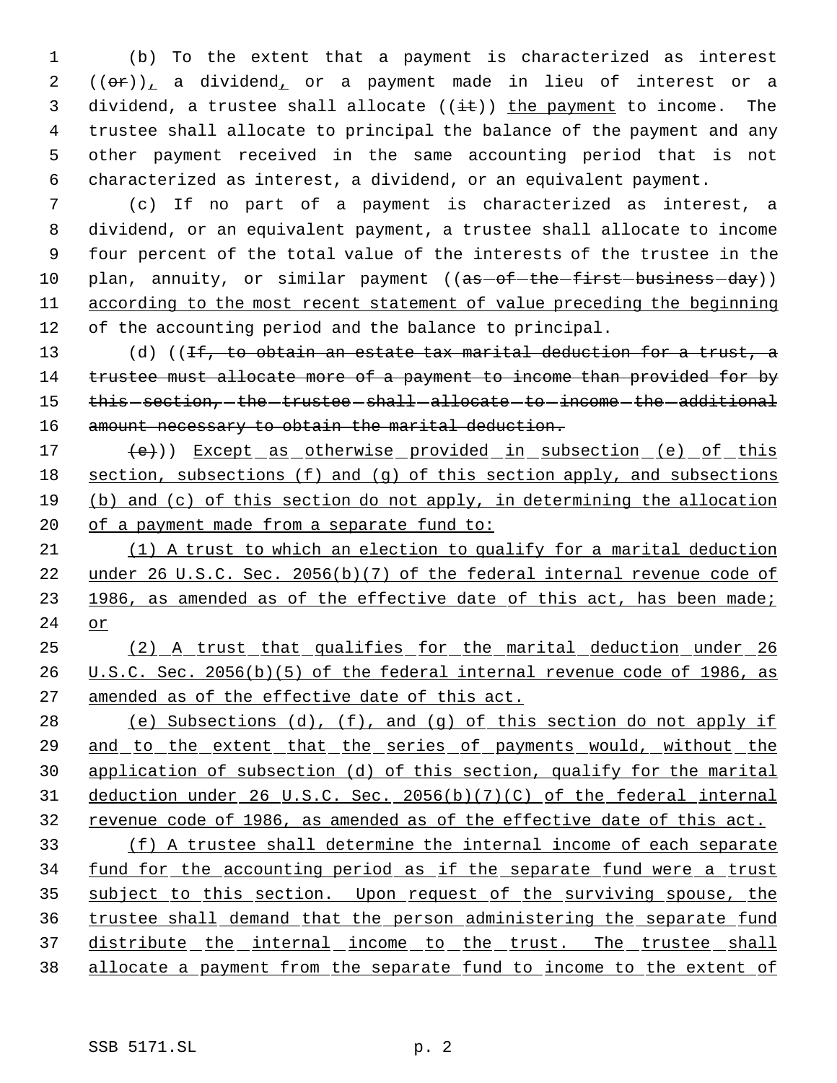(b) To the extent that a payment is characterized as interest  $2((\theta \cdot \hat{r}))$ , a dividend, or a payment made in lieu of interest or a 3 dividend, a trustee shall allocate  $((i+1))$  the payment to income. The trustee shall allocate to principal the balance of the payment and any other payment received in the same accounting period that is not characterized as interest, a dividend, or an equivalent payment.

 (c) If no part of a payment is characterized as interest, a dividend, or an equivalent payment, a trustee shall allocate to income four percent of the total value of the interests of the trustee in the 10 plan, annuity, or similar payment ((as-of-the-first-business-day)) according to the most recent statement of value preceding the beginning of the accounting period and the balance to principal.

13 (d) ((If, to obtain an estate tax marital deduction for a trust, a 14 trustee must allocate more of a payment to income than provided for by 15 this section, the trustee shall allocate to income the additional 16 amount necessary to obtain the marital deduction.

17 (e)) Except as otherwise provided in subsection (e) of this 18 section, subsections (f) and (g) of this section apply, and subsections 19 (b) and (c) of this section do not apply, in determining the allocation 20 of a payment made from a separate fund to:

21 (1) A trust to which an election to qualify for a marital deduction 22 under 26 U.S.C. Sec. 2056(b)(7) of the federal internal revenue code of 23 1986, as amended as of the effective date of this act, has been made; 24 or

25 (2) A trust that qualifies for the marital deduction under 26 26 U.S.C. Sec. 2056(b)(5) of the federal internal revenue code of 1986, as 27 amended as of the effective date of this act.

28 (e) Subsections  $(d)$ ,  $(f)$ , and  $(g)$  of this section do not apply if and to the extent that the series of payments would, without the application of subsection (d) of this section, qualify for the marital deduction under 26 U.S.C. Sec. 2056(b)(7)(C) of the federal internal revenue code of 1986, as amended as of the effective date of this act.

33 (f) A trustee shall determine the internal income of each separate 34 fund for the accounting period as if the separate fund were a trust 35 subject to this section. Upon request of the surviving spouse, the 36 trustee shall demand that the person administering the separate fund 37 distribute the internal income to the trust. The trustee shall 38 allocate a payment from the separate fund to income to the extent of